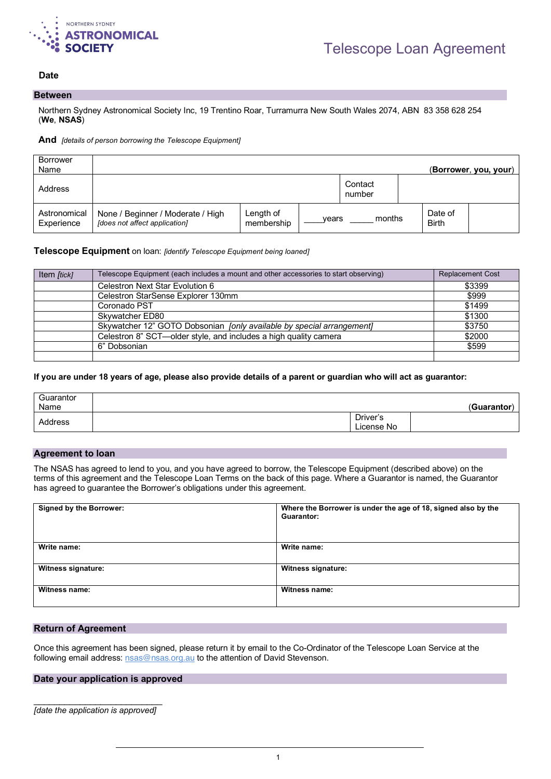

# **Date** 2022 and 2022 and 2022 and 2022 and 2022 and 2022 and 2022 and 2022 and 2022 and 2022 and 2022 and 2022 and 2022 and 2022 and 2022 and 2022 and 2022 and 2022 and 2022 and 2022 and 2022 and 2022 and 2022 and 2022 and

### **Between**

Northern Sydney Astronomical Society Inc, 19 Trentino Roar, Turramurra New South Wales 2074, ABN 83 358 628 254 (**We**, **NSAS**)

#### **And** *[details of person borrowing the Telescope Equipment]*

| <b>Borrower</b><br>Name    |                                                                    |                         |       |                   |                         | (Borrower, you, your) |
|----------------------------|--------------------------------------------------------------------|-------------------------|-------|-------------------|-------------------------|-----------------------|
| Address                    |                                                                    |                         |       | Contact<br>number |                         |                       |
| Astronomical<br>Experience | None / Beginner / Moderate / High<br>[does not affect application] | Length of<br>membership | vears | months            | Date of<br><b>Birth</b> |                       |

### **Telescope Equipment** on loan: *[identify Telescope Equipment being loaned]*

| Item [tick] | Telescope Equipment (each includes a mount and other accessories to start observing) | <b>Replacement Cost</b> |
|-------------|--------------------------------------------------------------------------------------|-------------------------|
|             | Celestron Next Star Evolution 6                                                      | \$3399                  |
|             | Celestron StarSense Explorer 130mm                                                   | \$999                   |
|             | Coronado PST                                                                         | \$1499                  |
|             | Skywatcher ED80                                                                      | \$1300                  |
|             | Skywatcher 12" GOTO Dobsonian [only available by special arrangement]                | \$3750                  |
|             | Celestron 8" SCT—older style, and includes a high quality camera                     | \$2000                  |
|             | 6" Dobsonian                                                                         | \$599                   |
|             |                                                                                      |                         |

### **If you are under 18 years of age, please also provide details of a parent or guardian who will act as guarantor:**

| Guarantor |                        |             |
|-----------|------------------------|-------------|
| Name      |                        | (Guarantor) |
| Address   | Driver's<br>License No |             |

# **Agreement to loan**

The NSAS has agreed to lend to you, and you have agreed to borrow, the Telescope Equipment (described above) on the terms of this agreement and the Telescope Loan Terms on the back of this page. Where a Guarantor is named, the Guarantor has agreed to guarantee the Borrower's obligations under this agreement.

| <b>Signed by the Borrower:</b> | Where the Borrower is under the age of 18, signed also by the<br>Guarantor: |
|--------------------------------|-----------------------------------------------------------------------------|
| Write name:                    | Write name:                                                                 |
| Witness signature:             | Witness signature:                                                          |
| Witness name:                  | Witness name:                                                               |

# **Return of Agreement**

Once this agreement has been signed, please return it by email to the Co-Ordinator of the Telescope Loan Service at the following email address: nsas@nsas.org.au to the attention of David Stevenson.

### **Date your application is approved**

\_\_\_\_\_\_\_\_\_\_\_\_\_\_\_\_\_\_\_\_\_\_\_\_\_ *[date the application is approved]*